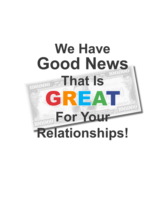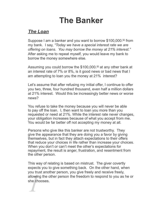# **The Banker**

## *The Loan*

Suppose I am a banker and you want to borrow \$100,000.<sup> $\omega$ </sup> from my bank. I say, *"Today we have a special interest rate we are offering on loans. You may borrow the money at 21% interest."*  After asking me to repeat myself, you would leave my bank to borrow the money somewhere else.

Assuming you could borrow the \$100,000.<sup> $\omega$ </sup> at any other bank at an interest rate of 7% or 8%, is it good news or bad news that I am attempting to loan you the money at 21% interest?

Let's assume that after refusing my initial offer, I continue to offer you two, three, four hundred thousand, even half a million dollars at 21% interest. Would this be increasingly better news or worse news?

You refuse to take the money because you will never be able to pay off the loan. I, then want to loan you more than you requested or need at 21%. While the interest rate never changes, your obligation increases because of what you accept from me. You would be far better off not accepting my money at all.

Persons who give like this banker are not trustworthy. They give the appearance that they are doing you a favor by giving themselves, but in fact they attach expectations to their offers that reduce your choices in life rather than increase your choices. When you don't or can't meet the other's expectations for repayment, the result is anger, frustration, and resentment from the other person.

**1**<br>**1**<br>**1**<br>**1**<br>**1**<br>**1**<br>**1**<br>**1** This way of relating is based on mistrust. The giver covertly expects you to give something back. On the other hand, when you trust another person, you give freely and receive freely, allowing the other person the freedom to respond to you as he or she chooses.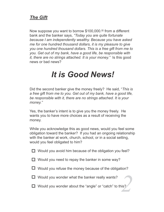### **The Gift**

Now suppose you want to borrow \$100,000.<sup> $\omega$ </sup> from a different bank and the banker says, "Today you are quite fortunate" because I am independently wealthy. Because you have asked me for one hundred thousand dollars, it is my pleasure to give you one hundred thousand dollars. This is a free gift from me to you. Get out of my bank, have a good life, be responsible with *it, there are no strings attached. It is your money.*" Is this good news or bad news?

# It is Good News!

Did the second banker give the money freely? He said, "This is a free gift from me to you. Get out of my bank, have a good life, be responsible with it, there are no strings attached. It is your money."

Yes, the banker's intent is to give you the money freely. He wants you to have more choices as a result of receiving the money.

While you acknowledge this as good news, would you feel some obligation toward the banker? If you had an ongoing relationship with the banker at work, church, school, or in a social setting, would you feel obligated to him?

 $\Box$  Would you avoid him because of the obligation you feel?

- $\Box$  Would you need to repay the banker in some way?
- $\Box$  Would you refuse the money because of the obligation?

 $\Box$  Would you wonder what the banker really wants?

 $\Box$  Would you wonder about the "angle" or "catch" to this?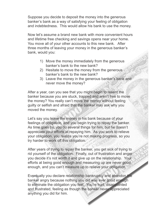Suppose you decide to deposit the money into the generous banker's bank as a way of satisfying your feeling of obligation and indebtedness. This would allow his bank to use the money.

Now let's assume a brand new bank with more convenient hours and lifetime free checking and savings opens near your home. You move all of your other accounts to this new bank. After three months of leaving your money in the generous banker's bank, would you:

- 1) Move the money immediately from the generous banker's bank to the new bank?
- 2) Hesitate to move the money from the generous banker's bank to the new bank?
- 3) Leave the money in the generous banker's bank and never move the money?

After a year, can you see that you might begin to resent the banker because you are stuck, trapped and aren't free to move the money? You really can't move the money without feeling guilty or selfish and afraid that the banker may ask why you moved the money.

Let's say you leave the money in his bank because of your feelings of obligation, and you begin trying to repay the banker. As time goes by, you do several things for him, but he doesn't appreciate your efforts at repaying him. As you work to relieve your obligation, you realize you're not making progress, so you try harder to work off this obligation.

After years of trying to repay the banker, you get sick of trying to rid yourself of the obligation. Finally, out of frustration and anger you decide it's not worth it and give up on the relationship. Your efforts at being good enough and measuring up are never good enough, and you can't measure up to relieve your obligation.

Eventually you declare relationship bankruptcy and abandon the banker angry because nothing you did was ever good enough to eliminate the obligation you feel. You're hurt, disappointed and frustrated, feeling as though the banker never appreciated anything you did for him.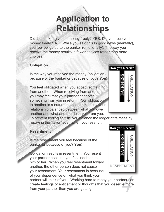# **Application to Relationships**

Did the banker give the money freely? YES. Did you receive the money freely? NO. While you said this Is good news (mentally), you feel obligated to the banker (emotionally). The way you receive the money results in fewer choices rather than more choices.

### **Obligation**

Is the way you received the money (obligation) because of the banker or because of you? You!

You feel obligated when you accept something from another. When receiving from another, you may feel that your partner deserves something from you in return. Your obligation to another is a natural reaction to keeping your relationship balanced between what you owe another and what another deserves from you.

To prevent feeling selfish, you balance the ledger of fairness by repaying the "favor" even when you resent it.

### **Resentment**

Is the resentment you feel because of the banker or because of you? You!

Obligation results in resentment. You resent your partner because you feel indebted to him or her. When you feel resentment toward another, the other person does not cause your resentment. Your resentment is because of your dependence on what you think your

partner will think of you. Working hard to repay your partner can create feelings of entitlement or thoughts that you deserve more from your partner than you are getting.



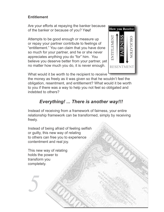### **Entitlement**

Are your efforts at repaying the banker because of the banker or because of you? You!

Attempts to be good enough or measure up or repay your partner contribute to feelings of "entitlement." You can claim that you have done so much for your partner, and he or she never appreciates anything you do "for" him. You believe you deserve better from your partner, yet no matter how much you do, it is never enough.



What would it be worth to the recipient to receive

the money as freely as it was given so that he wouldn't feel the obligation, resentment, and entitlement? What would it be worth to you if there was a way to help you not feel so obligated and indebted to others?

## Everything! ... There is another way!!!

Instead of receiving from a framework of fairness, your entire relationship framework can be transformed, simply by receiving freely.

Instead of being afraid of feeling selfish or quilty, this new way of relating to others can free you to experience contentment and real joy.

This new way of relating holds the power to transform you completely.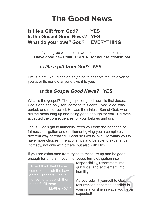## **The Good News**

#### **Is life a Gift from God? YES** Is the Gospel Good News? YES **EVERYTHING** What do you "owe" God?

If you agree with the answers to these questions ... I have good news that is GREAT for your relationships!

## Is life a gift from God? YES

Life is a gift. You didn't do anything to deserve the life given to you at birth, nor did anyone owe it to you.

## **Is the Gospel Good News? YES**

What is the gospel? The gospel or good news is that Jesus, God's one and only son, came to this earth, lived, died, was buried, and resurrected. He was the sinless Son of God, who did the measuring up and being good enough for you. He even accepted the consequences for your failures and sin.

Jesus, God's gift to humanity, frees you from the bondage of fairness' obligation and entitlement giving you a completely different way of relating. Because God is love, He wants you to have more choices in relationships and be able to experience intimacy, not only with others, but also with Him.

If you are exhausted from trying to measure up and be good enough for others in your life, Jesus turns obligation into

Do not think that I have come to abolish the Law or the Prophets; I have not come to abolish them but to fulfill them.

Matthew 5:17

responsibility, resentment into gratitude, and entitlement into humility.

As you submit yourself to God. resurrection becomes possible in your relationship in ways you never expected!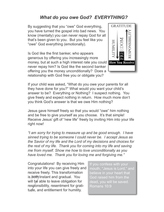### **What do you owe God? EVERYTHING?**

By suggesting that you "owe" God everything, you have turned the gospel into bad news. You know (mentally) you can never repay God for all that's been given to you. But you feel like you "owe" God everything (emotionally).

Is God like the first banker, who appears generous by offering you increasingly more money, but at such a high interest rate you could **How You Receive** never repay him? Is God like the second banker offering you the money unconditionally? Does a relationship with God free you or obligate you?



If your child was asked, "What do you owe your parents for all they have done for you?" What would you want your child's answer to be? Everything or Nothing? I suspect nothing. You give freely and expect nothing in return. How much more don't you think God's answer is that we owe Him nothing?

Jesus gave himself freely so that you would "owe" him nothing and be free to give yourself as you choose. It's that simple! Receive Jesus' gift of "new life" freely by inviting Him into your life right now!

"I am sorry for trying to measure up and be good enough. I have sinned trying to be someone I could never be. I accept Jesus as the Savior of my life and the Lord of my decisions and choices for the rest of my life. Thank you for coming into my life and saving me from myself. Show me how to love unconditionally as you have loved me. Thank you for loving me and forgiving me."

Congratulations! By receiving Him into your life you can give freely and receive freely. This transformation is both instant and gradual. You will be able to leave obligation for responsibility, resentment for gratitude, and entitlement for humility.

If you confess with your mouth, "Jesus is Lord," and believe in your heart that God raised him from the dead, you will be saved. Romans 10:9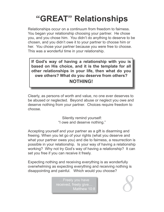# "GREAT" Relationships

Relationships occur on a continuum from freedom to fairness. You began your relationship choosing your partner. He chose you, and you chose him. You didn't do anything to deserve to be chosen, and you didn't owe it to your partner to choose him or her. You chose your partner because you were free to choose. This was a wonderful time in your relationship.

If God's way of having a relationship with you is based on His choice, and it is the template for all other relationships in your life, then what do you owe others? What do you deserve from others? **NOTHING!** 

Clearly, as persons of worth and value, no one ever deserves to be abused or neglected. Beyond abuse or neglect you owe and deserve nothing from your partner. Choices require freedom to choose.

> Silently remind yourself: "I owe and deserve nothing."

Accepting yourself and your partner as a gift is disarming and freeing. When you let go of your rights (what you deserve and what your partner owes you) and die to fairness, a resurrection is possible in your relationship. Is your way of having a relationship working? Why not try God's way of having a relationship? It can set you free if you can receive it freely.

Expecting nothing and receiving everything is as wonderfully overwhelming as expecting everything and receiving nothing is disappointing and painful. Which would you choose?

> ...Freely you have received, freely give... Matthew 10:8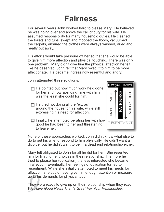# **Fairness**

For several years John worked hard to please Mary. He believed he was going over and above the call of duty for his wife. He assumed responsibility for many household duties. He cleaned the toilets and tubs, swept and mopped the floors, vacuumed the carpets, ensured the clothes were always washed, dried and neatly put away.

His efforts would take pressure off her so that she would be able to give him more affection and physical touching. There was only one problem. Mary didn't give him the physical affection he felt like he deserved. John felt that Mary owed it to him to be more affectionate. He became increasingly resentful and angry.

John attempted three solutions:

- $\Box$  He pointed out how much work he'd done for her and how spending time with him was the least she could for him.
- $\Box$  He tried not doing all the "extras" around the house for his wife, while still expressing his need for affection.
- $\Box$  Finally, he attempted berating her with how good he had been to her and threatening to leave her.



None of these approaches worked. John didn't know what else to do to get his wife to respond to him physically. He didn't want a divorce, but he didn't want to be in a dead end relationship either.

Mary felt obligated to John for all he did for her. She resented him for limiting her choices in their relationship. The more he tried to please her (obligation) the less interested she became in affection. Eventually, her feelings of obligation turned to resentment. While she initially attempted to meet his needs for affection, she could never give him enough attention or measure up to his demands for physical touch.

They were ready to give up on their relationship when they read We Have Good News That Is Great For Your Relationship.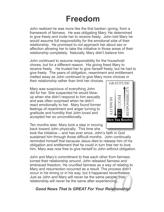# **Freedom**

John realized he was more like the first banker--giving, from a framework of fairness. He was obligating Mary. He determined to give freely and invite her to receive freely. John told Mary he would assume full responsibility for the emotional side of their relationship. He promised to not approach her about sex or affection allowing her to take the initiative in those areas of their relationship completely. Naturally, Mary didn't believe him.

John continued to assume responsibility for the household chores, but for a different reason. His giving freed Mary to receive freely. He trusted her to give herself freely, but he had to give freely. The years of obligation, resentment and entitlement melted away as John continued to give Mary more choices in

their relationship rather than limit her choices.

Mary was suspicious of everything John did for her. She suspected he would blowup when she didn't respond to him sexually and was often surprised when he didn't react emotionally to her. Mary found former feelings of resentment and anger turning to gratitude and humility that John loved and accepted her so unconditionally.



Ten months later, Mary took a step in moving back toward John physically. This time she

took the initiative -- and has ever since. John's faith in God sustained him through those difficult months. John continually reminded himself that because Jesus died to release him of his obligation and entitlement that he could in turn free her to love him. Mary was now free to give herself to John without obligation.

John and Mary's commitment to free each other from fairness turned their relationship around. John released fairness and embraced freedom. He crucified fairness as a way of relating to Mary and resurrection occurred as a result. The process didn't occur in his timing or in his way, but it happened nevertheless. Just as John and Mary will never be the same people, their relationship will never be the same after experiencing...

### **Good News That Is GREAT For Your Relationship!**